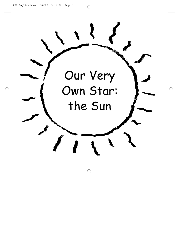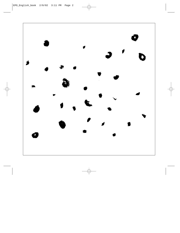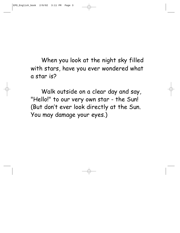When you look at the night sky filled with stars, have you ever wondered what a star is?

Walk outside on a clear day and say, "Hello!" to our very own star - the Sun! (But don't ever look directly at the Sun. You may damage your eyes.)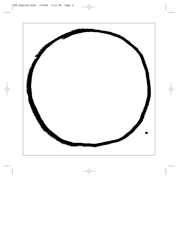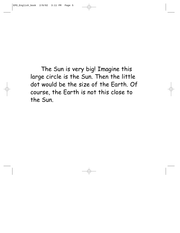The Sun is very big! Imagine this large circle is the Sun. Then the little dot would be the size of the Earth. Of course, the Earth is not this close to the Sun.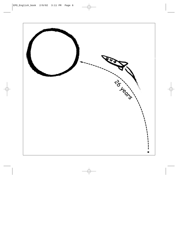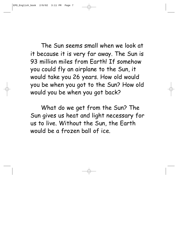The Sun seems small when we look at it because it is very far away. The Sun is 93 million miles from Earth! If somehow you could fly an airplane to the Sun, it would take you 26 years. How old would you be when you got to the Sun? How old would you be when you got back?

What do we get from the Sun? The Sun gives us heat and light necessary for us to live. Without the Sun, the Earth would be a frozen ball of ice.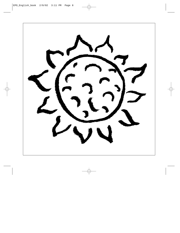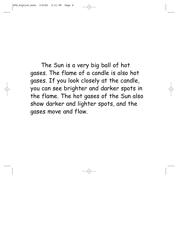The Sun is a very big ball of hot gases. The flame of a candle is also hot gases. If you look closely at the candle, you can see brighter and darker spots in the flame. The hot gases of the Sun also show darker and lighter spots, and the gases move and flow.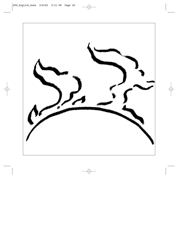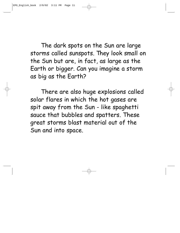The dark spots on the Sun are large storms called sunspots. They look small on the Sun but are, in fact, as large as the Earth or bigger. Can you imagine a storm as big as the Earth?

There are also huge explosions called solar flares in which the hot gases are spit away from the Sun - like spaghetti sauce that bubbles and spatters. These great storms blast material out of the Sun and into space.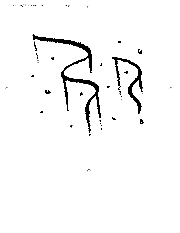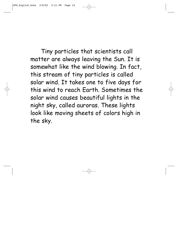Tiny particles that scientists call matter are always leaving the Sun. It is somewhat like the wind blowing. In fact, this stream of tiny particles is called solar wind. It takes one to five days for this wind to reach Earth. Sometimes the solar wind causes beautiful lights in the night sky, called auroras. These lights look like moving sheets of colors high in the sky.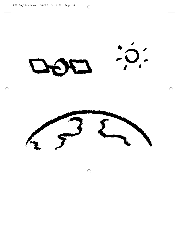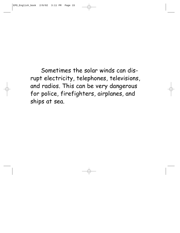Sometimes the solar winds can disrupt electricity, telephones, televisions, and radios. This can be very dangerous for police, firefighters, airplanes, and ships at sea.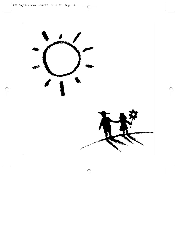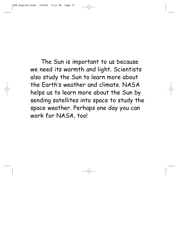The Sun is important to us because we need its warmth and light. Scientists also study the Sun to learn more about the Earth's weather and climate. NASA helps us to learn more about the Sun by sending satellites into space to study the space weather. Perhaps one day you can work for NASA, too!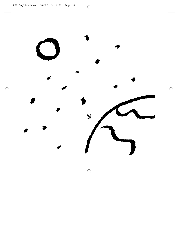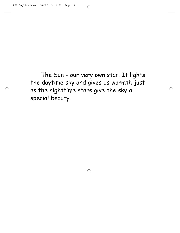The Sun - our very own star. It lights the daytime sky and gives us warmth just as the nighttime stars give the sky a special beauty.